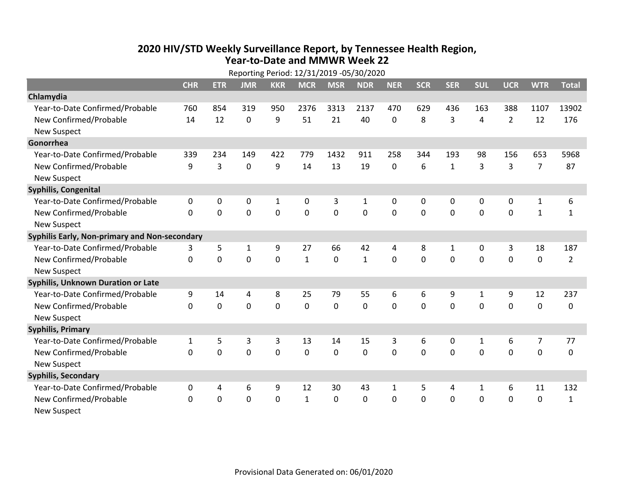## **2020 HIV /STD Weekly Surveillance Report, by Tennessee Health Region, Year‐to‐Date and MMWR Week 22** Reporting Period: 12/31/2019 ‐05/30/2020

| Reporting Period: 12/31/2019 -05/30/2020      |              |              |             |                |              |                |              |              |            |              |              |                |                |                |
|-----------------------------------------------|--------------|--------------|-------------|----------------|--------------|----------------|--------------|--------------|------------|--------------|--------------|----------------|----------------|----------------|
|                                               | <b>CHR</b>   | <b>ETR</b>   | <b>JMR</b>  | <b>KKR</b>     | <b>MCR</b>   | <b>MSR</b>     | <b>NDR</b>   | <b>NER</b>   | <b>SCR</b> | <b>SER</b>   | <b>SUL</b>   | <b>UCR</b>     | <b>WTR</b>     | <b>Total</b>   |
| Chlamydia                                     |              |              |             |                |              |                |              |              |            |              |              |                |                |                |
| Year-to-Date Confirmed/Probable               | 760          | 854          | 319         | 950            | 2376         | 3313           | 2137         | 470          | 629        | 436          | 163          | 388            | 1107           | 13902          |
| New Confirmed/Probable                        | 14           | 12           | $\mathbf 0$ | 9              | 51           | 21             | 40           | 0            | 8          | 3            | 4            | $\overline{2}$ | 12             | 176            |
| <b>New Suspect</b>                            |              |              |             |                |              |                |              |              |            |              |              |                |                |                |
| Gonorrhea                                     |              |              |             |                |              |                |              |              |            |              |              |                |                |                |
| Year-to-Date Confirmed/Probable               | 339          | 234          | 149         | 422            | 779          | 1432           | 911          | 258          | 344        | 193          | 98           | 156            | 653            | 5968           |
| New Confirmed/Probable                        | 9            | 3            | $\mathbf 0$ | 9              | 14           | 13             | 19           | $\mathbf 0$  | 6          | $\mathbf{1}$ | 3            | 3              | $\overline{7}$ | 87             |
| <b>New Suspect</b>                            |              |              |             |                |              |                |              |              |            |              |              |                |                |                |
| <b>Syphilis, Congenital</b>                   |              |              |             |                |              |                |              |              |            |              |              |                |                |                |
| Year-to-Date Confirmed/Probable               | $\mathbf{0}$ | 0            | 0           | $\mathbf{1}$   | 0            | 3              | $\mathbf{1}$ | 0            | 0          | 0            | 0            | 0              | $\mathbf{1}$   | 6              |
| New Confirmed/Probable                        | $\Omega$     | $\mathbf{0}$ | $\Omega$    | $\overline{0}$ | $\mathbf 0$  | $\overline{0}$ | 0            | $\Omega$     | $\Omega$   | $\Omega$     | $\mathbf 0$  | $\mathbf 0$    | $\mathbf{1}$   | $\mathbf{1}$   |
| <b>New Suspect</b>                            |              |              |             |                |              |                |              |              |            |              |              |                |                |                |
| Syphilis Early, Non-primary and Non-secondary |              |              |             |                |              |                |              |              |            |              |              |                |                |                |
| Year-to-Date Confirmed/Probable               | 3            | 5            | 1           | 9              | 27           | 66             | 42           | 4            | 8          | 1            | 0            | 3              | 18             | 187            |
| New Confirmed/Probable                        | $\mathbf{0}$ | 0            | 0           | 0              | $\mathbf{1}$ | 0              | $\mathbf{1}$ | $\Omega$     | $\Omega$   | $\mathbf 0$  | 0            | $\mathbf 0$    | $\mathbf 0$    | $\overline{2}$ |
| <b>New Suspect</b>                            |              |              |             |                |              |                |              |              |            |              |              |                |                |                |
| Syphilis, Unknown Duration or Late            |              |              |             |                |              |                |              |              |            |              |              |                |                |                |
| Year-to-Date Confirmed/Probable               | 9            | 14           | 4           | 8              | 25           | 79             | 55           | 6            | 6          | 9            | $\mathbf{1}$ | 9              | 12             | 237            |
| New Confirmed/Probable                        | 0            | $\mathbf 0$  | 0           | $\overline{0}$ | $\mathbf 0$  | 0              | $\mathbf 0$  | $\Omega$     | $\Omega$   | 0            | 0            | $\mathbf 0$    | $\mathbf 0$    | 0              |
| <b>New Suspect</b>                            |              |              |             |                |              |                |              |              |            |              |              |                |                |                |
| <b>Syphilis, Primary</b>                      |              |              |             |                |              |                |              |              |            |              |              |                |                |                |
| Year-to-Date Confirmed/Probable               | $\mathbf{1}$ | 5            | 3           | 3              | 13           | 14             | 15           | 3            | 6          | 0            | 1            | 6              | $\overline{7}$ | 77             |
| New Confirmed/Probable                        | 0            | 0            | 0           | $\overline{0}$ | $\mathbf 0$  | $\mathbf 0$    | 0            | $\Omega$     | $\Omega$   | 0            | $\mathbf 0$  | $\mathbf 0$    | $\mathbf 0$    | $\mathbf 0$    |
| <b>New Suspect</b>                            |              |              |             |                |              |                |              |              |            |              |              |                |                |                |
| <b>Syphilis, Secondary</b>                    |              |              |             |                |              |                |              |              |            |              |              |                |                |                |
| Year-to-Date Confirmed/Probable               | 0            | 4            | 6           | 9              | 12           | 30             | 43           | $\mathbf{1}$ | 5          | 4            | $\mathbf{1}$ | 6              | 11             | 132            |
| New Confirmed/Probable                        | $\mathbf{0}$ | 0            | 0           | 0              | $\mathbf{1}$ | 0              | 0            | $\mathbf 0$  | $\Omega$   | 0            | 0            | $\mathbf 0$    | $\mathbf 0$    | $\mathbf{1}$   |
| <b>New Suspect</b>                            |              |              |             |                |              |                |              |              |            |              |              |                |                |                |